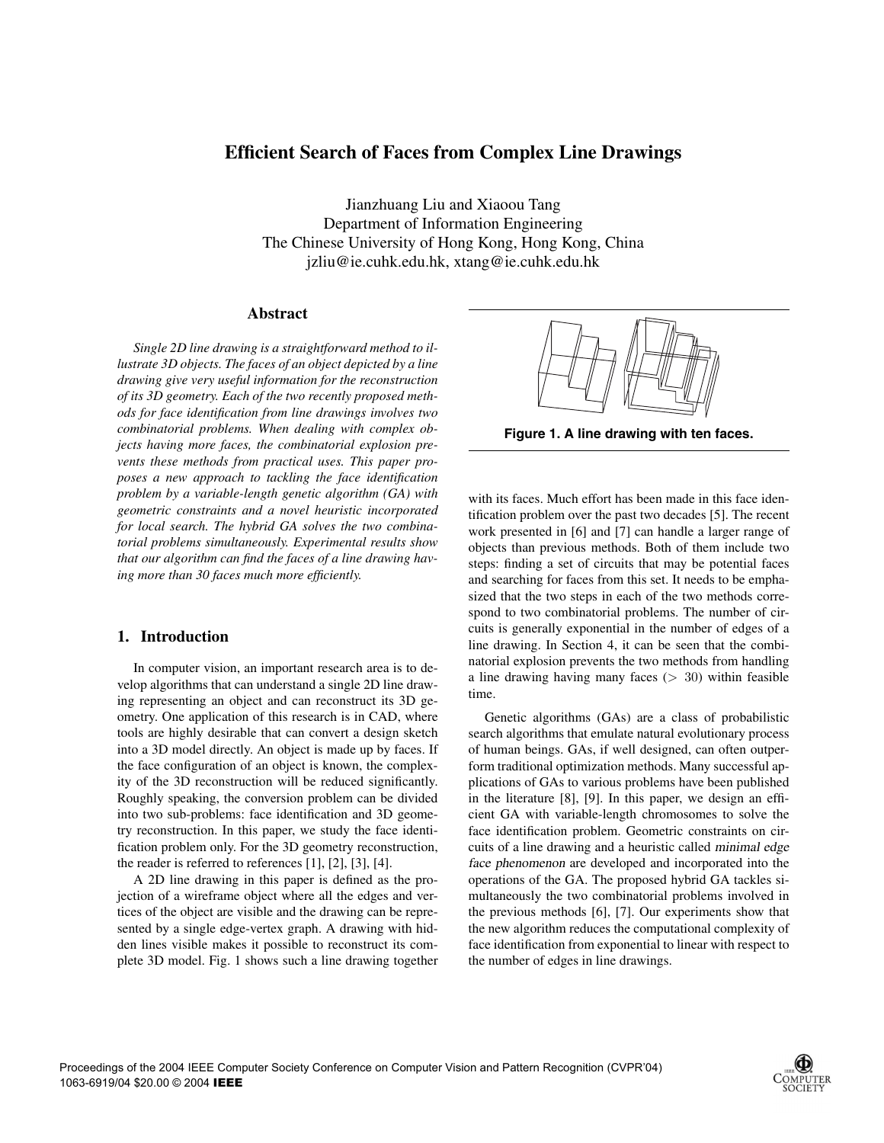# **Efficient Search of Faces from Complex Line Drawings**

Jianzhuang Liu and Xiaoou Tang Department of Information Engineering The Chinese University of Hong Kong, Hong Kong, China jzliu@ie.cuhk.edu.hk, xtang@ie.cuhk.edu.hk

# **Abstract**

*Single 2D line drawing is a straightforward method to illustrate 3D objects. The faces of an object depicted by a line drawing give very useful information for the reconstruction of its 3D geometry. Each of the two recently proposed methods for face identification from line drawings involves two combinatorial problems. When dealing with complex objects having more faces, the combinatorial explosion prevents these methods from practical uses. This paper proposes a new approach to tackling the face identification problem by a variable-length genetic algorithm (GA) with geometric constraints and a novel heuristic incorporated for local search. The hybrid GA solves the two combinatorial problems simultaneously. Experimental results show that our algorithm can find the faces of a line drawing having more than 30 faces much more efficiently.*

### **1. Introduction**

In computer vision, an important research area is to develop algorithms that can understand a single 2D line drawing representing an object and can reconstruct its 3D geometry. One application of this research is in CAD, where tools are highly desirable that can convert a design sketch into a 3D model directly. An object is made up by faces. If the face configuration of an object is known, the complexity of the 3D reconstruction will be reduced significantly. Roughly speaking, the conversion problem can be divided into two sub-problems: face identification and 3D geometry reconstruction. In this paper, we study the face identification problem only. For the 3D geometry reconstruction, the reader is referred to references [1], [2], [3], [4].

A 2D line drawing in this paper is defined as the projection of a wireframe object where all the edges and vertices of the object are visible and the drawing can be represented by a single edge-vertex graph. A drawing with hidden lines visible makes it possible to reconstruct its complete 3D model. Fig. 1 shows such a line drawing together



**Figure 1. A line drawing with ten faces.**

with its faces. Much effort has been made in this face identification problem over the past two decades [5]. The recent work presented in [6] and [7] can handle a larger range of objects than previous methods. Both of them include two steps: finding a set of circuits that may be potential faces and searching for faces from this set. It needs to be emphasized that the two steps in each of the two methods correspond to two combinatorial problems. The number of circuits is generally exponential in the number of edges of a line drawing. In Section 4, it can be seen that the combinatorial explosion prevents the two methods from handling a line drawing having many faces  $(> 30)$  within feasible time.

Genetic algorithms (GAs) are a class of probabilistic search algorithms that emulate natural evolutionary process of human beings. GAs, if well designed, can often outperform traditional optimization methods. Many successful applications of GAs to various problems have been published in the literature [8], [9]. In this paper, we design an efficient GA with variable-length chromosomes to solve the face identification problem. Geometric constraints on circuits of a line drawing and a heuristic called minimal edge face phenomenon are developed and incorporated into the operations of the GA. The proposed hybrid GA tackles simultaneously the two combinatorial problems involved in the previous methods [6], [7]. Our experiments show that the new algorithm reduces the computational complexity of face identification from exponential to linear with respect to the number of edges in line drawings.

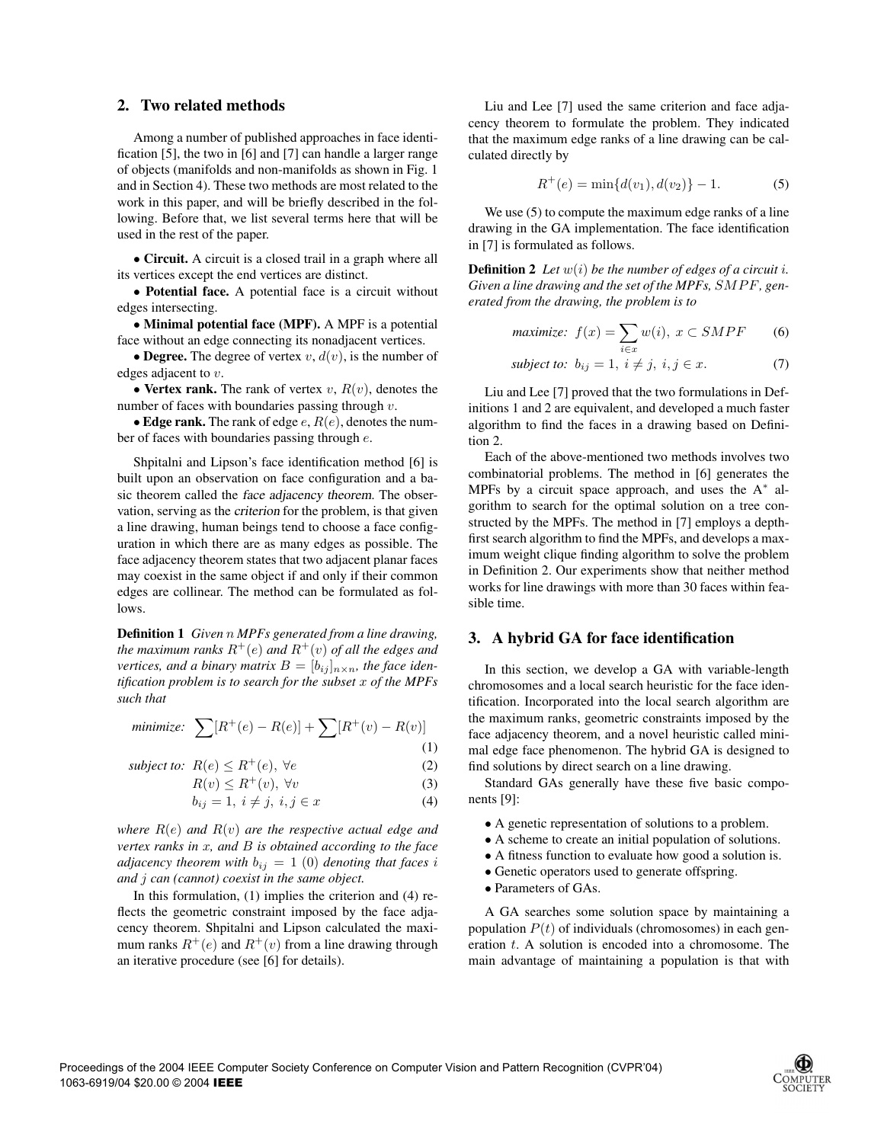# **2. Two related methods**

Among a number of published approaches in face identification [5], the two in [6] and [7] can handle a larger range of objects (manifolds and non-manifolds as shown in Fig. 1 and in Section 4). These two methods are most related to the work in this paper, and will be briefly described in the following. Before that, we list several terms here that will be used in the rest of the paper.

• **Circuit.** A circuit is a closed trail in a graph where all its vertices except the end vertices are distinct.

• **Potential face.** A potential face is a circuit without edges intersecting.

• **Minimal potential face (MPF).** A MPF is a potential face without an edge connecting its nonadjacent vertices.

• **Degree.** The degree of vertex  $v$ ,  $d(v)$ , is the number of edges adjacent to v.

• **Vertex rank.** The rank of vertex  $v$ ,  $R(v)$ , denotes the number of faces with boundaries passing through  $v$ .

• **Edge rank.** The rank of edge  $e$ ,  $R(e)$ , denotes the number of faces with boundaries passing through e.

Shpitalni and Lipson's face identification method [6] is built upon an observation on face configuration and a basic theorem called the face adjacency theorem. The observation, serving as the criterion for the problem, is that given a line drawing, human beings tend to choose a face configuration in which there are as many edges as possible. The face adjacency theorem states that two adjacent planar faces may coexist in the same object if and only if their common edges are collinear. The method can be formulated as follows.

**Definition 1** *Given* n *MPFs generated from a line drawing, the maximum ranks*  $R^+(e)$  *and*  $R^+(v)$  *of all the edges and vertices, and a binary matrix*  $B = [b_{ij}]_{n \times n}$ *, the face identification problem is to search for the subset* x *of the MPFs such that*

minimize: 
$$
\sum [R^+(e) - R(e)] + \sum [R^+(v) - R(v)]
$$
 (1)

subject to: 
$$
R(e) \le R^+(e)
$$
,  $\forall e$  (2)

$$
R(v) \le R^+(v), \ \forall v \tag{3}
$$

$$
b_{ij} = 1, i \neq j, i, j \in x \tag{4}
$$

*where* R(e) *and* R(v) *are the respective actual edge and vertex ranks in* x*, and* B *is obtained according to the face adjacency theorem with*  $b_{ij} = 1$  (0) *denoting that faces i and* j *can (cannot) coexist in the same object.*

In this formulation, (1) implies the criterion and (4) reflects the geometric constraint imposed by the face adjacency theorem. Shpitalni and Lipson calculated the maximum ranks  $R^+(e)$  and  $R^+(v)$  from a line drawing through an iterative procedure (see [6] for details).

Liu and Lee [7] used the same criterion and face adjacency theorem to formulate the problem. They indicated that the maximum edge ranks of a line drawing can be calculated directly by

$$
R^{+}(e) = \min\{d(v_1), d(v_2)\} - 1.
$$
 (5)

We use  $(5)$  to compute the maximum edge ranks of a line drawing in the GA implementation. The face identification in [7] is formulated as follows.

**Definition 2** Let  $w(i)$  be the number of edges of a circuit i. *Given a line drawing and the set of the MPFs,* SMPF*, generated from the drawing, the problem is to*

$$
maximize: f(x) = \sum_{i \in x} w(i), \ x \subset SMPF \qquad (6)
$$

subject to: 
$$
b_{ij} = 1, i \neq j, i, j \in x.
$$
 (7)

Liu and Lee [7] proved that the two formulations in Definitions 1 and 2 are equivalent, and developed a much faster algorithm to find the faces in a drawing based on Definition 2.

Each of the above-mentioned two methods involves two combinatorial problems. The method in [6] generates the MPFs by a circuit space approach, and uses the A<sup>∗</sup> algorithm to search for the optimal solution on a tree constructed by the MPFs. The method in [7] employs a depthfirst search algorithm to find the MPFs, and develops a maximum weight clique finding algorithm to solve the problem in Definition 2. Our experiments show that neither method works for line drawings with more than 30 faces within feasible time.

#### **3. A hybrid GA for face identification**

In this section, we develop a GA with variable-length chromosomes and a local search heuristic for the face identification. Incorporated into the local search algorithm are the maximum ranks, geometric constraints imposed by the face adjacency theorem, and a novel heuristic called minimal edge face phenomenon. The hybrid GA is designed to find solutions by direct search on a line drawing.

Standard GAs generally have these five basic components [9]:

- A genetic representation of solutions to a problem.
- A scheme to create an initial population of solutions.
- A fitness function to evaluate how good a solution is.
- Genetic operators used to generate offspring.
- Parameters of GAs.

A GA searches some solution space by maintaining a population  $P(t)$  of individuals (chromosomes) in each generation  $t$ . A solution is encoded into a chromosome. The main advantage of maintaining a population is that with

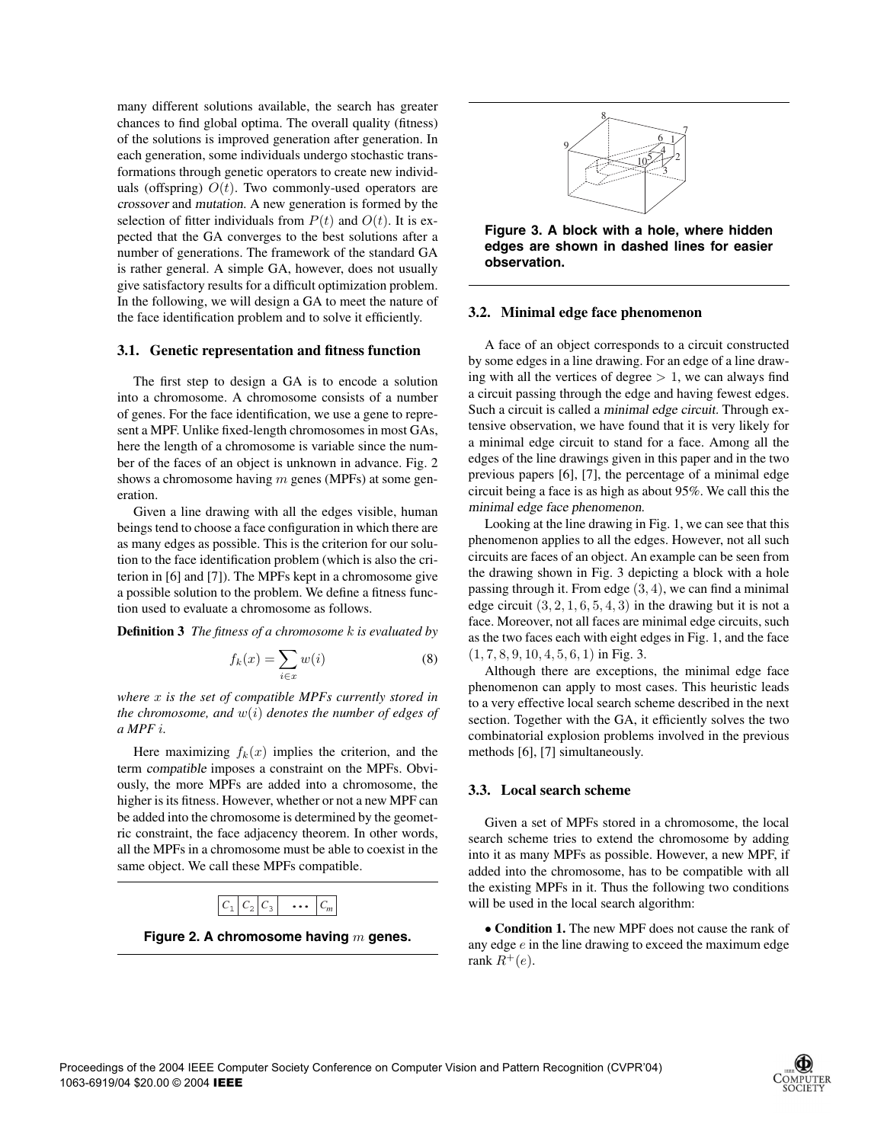many different solutions available, the search has greater chances to find global optima. The overall quality (fitness) of the solutions is improved generation after generation. In each generation, some individuals undergo stochastic transformations through genetic operators to create new individuals (offspring)  $O(t)$ . Two commonly-used operators are crossover and mutation. A new generation is formed by the selection of fitter individuals from  $P(t)$  and  $O(t)$ . It is expected that the GA converges to the best solutions after a number of generations. The framework of the standard GA is rather general. A simple GA, however, does not usually give satisfactory results for a difficult optimization problem. In the following, we will design a GA to meet the nature of the face identification problem and to solve it efficiently.

#### **3.1. Genetic representation and fitness function**

The first step to design a GA is to encode a solution into a chromosome. A chromosome consists of a number of genes. For the face identification, we use a gene to represent a MPF. Unlike fixed-length chromosomes in most GAs, here the length of a chromosome is variable since the number of the faces of an object is unknown in advance. Fig. 2 shows a chromosome having  $m$  genes (MPFs) at some generation.

Given a line drawing with all the edges visible, human beings tend to choose a face configuration in which there are as many edges as possible. This is the criterion for our solution to the face identification problem (which is also the criterion in [6] and [7]). The MPFs kept in a chromosome give a possible solution to the problem. We define a fitness function used to evaluate a chromosome as follows.

**Definition 3** *The fitness of a chromosome* k *is evaluated by*

$$
f_k(x) = \sum_{i \in x} w(i) \tag{8}
$$

*where* x *is the set of compatible MPFs currently stored in the chromosome, and* w(i) *denotes the number of edges of a MPF* i*.*

Here maximizing  $f_k(x)$  implies the criterion, and the term compatible imposes a constraint on the MPFs. Obviously, the more MPFs are added into a chromosome, the higher is its fitness. However, whether or not a new MPF can be added into the chromosome is determined by the geometric constraint, the face adjacency theorem. In other words, all the MPFs in a chromosome must be able to coexist in the same object. We call these MPFs compatible.



**Figure 2. A chromosome having** m **genes.**



**Figure 3. A block with a hole, where hidden edges are shown in dashed lines for easier observation.**

#### **3.2. Minimal edge face phenomenon**

A face of an object corresponds to a circuit constructed by some edges in a line drawing. For an edge of a line drawing with all the vertices of degree  $> 1$ , we can always find a circuit passing through the edge and having fewest edges. Such a circuit is called a minimal edge circuit. Through extensive observation, we have found that it is very likely for a minimal edge circuit to stand for a face. Among all the edges of the line drawings given in this paper and in the two previous papers [6], [7], the percentage of a minimal edge circuit being a face is as high as about 95%. We call this the minimal edge face phenomenon.

Looking at the line drawing in Fig. 1, we can see that this phenomenon applies to all the edges. However, not all such circuits are faces of an object. An example can be seen from the drawing shown in Fig. 3 depicting a block with a hole passing through it. From edge (3, 4), we can find a minimal edge circuit  $(3, 2, 1, 6, 5, 4, 3)$  in the drawing but it is not a face. Moreover, not all faces are minimal edge circuits, such as the two faces each with eight edges in Fig. 1, and the face  $(1, 7, 8, 9, 10, 4, 5, 6, 1)$  in Fig. 3.

Although there are exceptions, the minimal edge face phenomenon can apply to most cases. This heuristic leads to a very effective local search scheme described in the next section. Together with the GA, it efficiently solves the two combinatorial explosion problems involved in the previous methods [6], [7] simultaneously.

#### **3.3. Local search scheme**

Given a set of MPFs stored in a chromosome, the local search scheme tries to extend the chromosome by adding into it as many MPFs as possible. However, a new MPF, if added into the chromosome, has to be compatible with all the existing MPFs in it. Thus the following two conditions will be used in the local search algorithm:

• **Condition 1.** The new MPF does not cause the rank of any edge  $e$  in the line drawing to exceed the maximum edge rank  $R^+(e)$ .

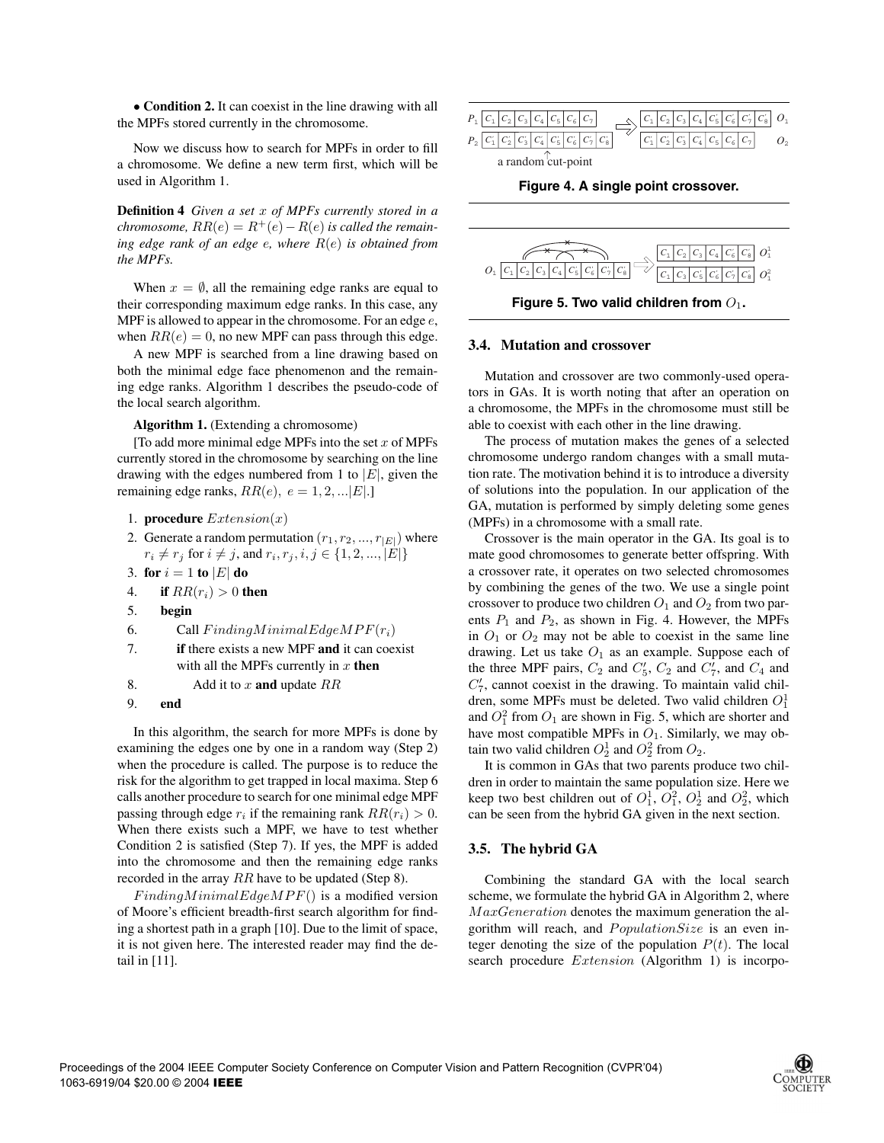• **Condition 2.** It can coexist in the line drawing with all the MPFs stored currently in the chromosome.

Now we discuss how to search for MPFs in order to fill a chromosome. We define a new term first, which will be used in Algorithm 1.

**Definition 4** *Given a set* x *of MPFs currently stored in a chromosome,*  $RR(e) = R^+(e) - R(e)$  *is called the remaining edge rank of an edge* e*, where* R(e) *is obtained from the MPFs.*

When  $x = \emptyset$ , all the remaining edge ranks are equal to their corresponding maximum edge ranks. In this case, any MPF is allowed to appear in the chromosome. For an edge  $e$ , when  $RR(e)=0$ , no new MPF can pass through this edge.

A new MPF is searched from a line drawing based on both the minimal edge face phenomenon and the remaining edge ranks. Algorithm 1 describes the pseudo-code of the local search algorithm.

**Algorithm 1.** (Extending a chromosome)

[To add more minimal edge MPFs into the set  $x$  of MPFs currently stored in the chromosome by searching on the line drawing with the edges numbered from 1 to  $|E|$ , given the remaining edge ranks,  $RR(e)$ ,  $e = 1, 2, ... |E|$ .]

- 1. **procedure**  $Extension(x)$
- 2. Generate a random permutation  $(r_1, r_2, ..., r_{|E|})$  where  $r_i \neq r_j \text{ for } i \neq j \text{, and } r_i, r_j, i, j \in \{1, 2, ..., |E|\}$
- 3. **for**  $i = 1$  **to**  $|E|$  **do**
- 4. **if**  $RR(r_i) > 0$  **then**
- 5. **begin**
- 6. Call  $Finding MinimalEdgeMPF(r_i)$
- 7. **if** there exists a new MPF **and** it can coexist with all the MPFs currently in  $x$  then
- 8. Add it to x **and** update RR
- 9. **end**

In this algorithm, the search for more MPFs is done by examining the edges one by one in a random way (Step 2) when the procedure is called. The purpose is to reduce the risk for the algorithm to get trapped in local maxima. Step 6 calls another procedure to search for one minimal edge MPF passing through edge  $r_i$  if the remaining rank  $RR(r_i) > 0$ . When there exists such a MPF, we have to test whether Condition 2 is satisfied (Step 7). If yes, the MPF is added into the chromosome and then the remaining edge ranks recorded in the array RR have to be updated (Step 8).

 $Finding MinimalEdgeMPF()$  is a modified version of Moore's efficient breadth-first search algorithm for finding a shortest path in a graph [10]. Due to the limit of space, it is not given here. The interested reader may find the detail in [11].



**Figure 4. A single point crossover.**



Figure 5. Two valid children from  $O_1$ .

#### **3.4. Mutation and crossover**

Mutation and crossover are two commonly-used operators in GAs. It is worth noting that after an operation on a chromosome, the MPFs in the chromosome must still be able to coexist with each other in the line drawing.

The process of mutation makes the genes of a selected chromosome undergo random changes with a small mutation rate. The motivation behind it is to introduce a diversity of solutions into the population. In our application of the GA, mutation is performed by simply deleting some genes (MPFs) in a chromosome with a small rate.

Crossover is the main operator in the GA. Its goal is to mate good chromosomes to generate better offspring. With a crossover rate, it operates on two selected chromosomes by combining the genes of the two. We use a single point crossover to produce two children  $O_1$  and  $O_2$  from two parents  $P_1$  and  $P_2$ , as shown in Fig. 4. However, the MPFs in  $O_1$  or  $O_2$  may not be able to coexist in the same line drawing. Let us take  $O_1$  as an example. Suppose each of the three MPF pairs,  $C_2$  and  $C_5$ ,  $C_2$  and  $C_7$ , and  $C_4$  and  $C_7'$ , cannot coexist in the drawing. To maintain valid children, some MPFs must be deleted. Two valid children  $O_1^1$ and  $O_1^2$  from  $O_1$  are shown in Fig. 5, which are shorter and have most compatible MPFs in  $O_1$ . Similarly, we may obtain two valid children  $O_2^1$  and  $O_2^2$  from  $O_2$ .

It is common in GAs that two parents produce two children in order to maintain the same population size. Here we keep two best children out of  $O_1^1$ ,  $O_1^2$ ,  $O_2^1$  and  $O_2^2$ , which can be seen from the hybrid GA given in the next section.

# **3.5. The hybrid GA**

Combining the standard GA with the local search scheme, we formulate the hybrid GA in Algorithm 2, where  $MaxGeneration$  denotes the maximum generation the algorithm will reach, and  $PopulationSize$  is an even integer denoting the size of the population  $P(t)$ . The local search procedure *Extension* (Algorithm 1) is incorpo-

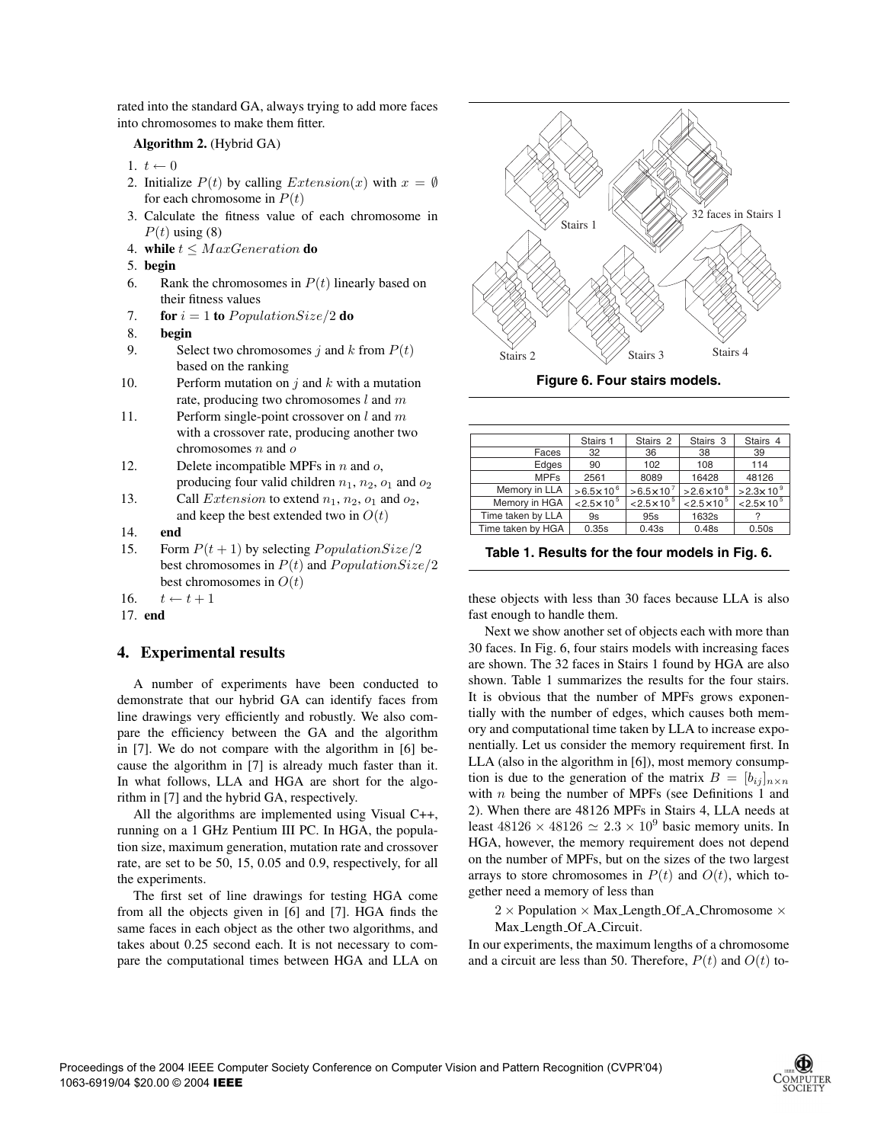rated into the standard GA, always trying to add more faces into chromosomes to make them fitter.

### **Algorithm 2.** (Hybrid GA)

- 1.  $t \leftarrow 0$
- 2. Initialize  $P(t)$  by calling  $Extension(x)$  with  $x = \emptyset$ for each chromosome in  $P(t)$
- 3. Calculate the fitness value of each chromosome in  $P(t)$  using (8)
- 4. **while**  $t \leq MaxGeneration$  **do**
- 5. **begin**
- 6. Rank the chromosomes in  $P(t)$  linearly based on their fitness values
- 7. **for**  $i = 1$  **to** PopulationSize/2 **do**
- 8. **begin**
- 9. Select two chromosomes j and k from  $P(t)$ based on the ranking
- 10. Perform mutation on  $j$  and  $k$  with a mutation rate, producing two chromosomes  $l$  and  $m$
- 11. Perform single-point crossover on  $l$  and  $m$ with a crossover rate, producing another two chromosomes  $n$  and  $o$
- 12. Delete incompatible MPFs in  $n$  and  $o$ , producing four valid children  $n_1$ ,  $n_2$ ,  $o_1$  and  $o_2$
- 13. Call *Extension* to extend  $n_1$ ,  $n_2$ ,  $o_1$  and  $o_2$ , and keep the best extended two in  $O(t)$
- 14. **end**
- 15. Form  $P(t + 1)$  by selecting *PopulationSize*/2 best chromosomes in  $P(t)$  and  $PopulationSize/2$ best chromosomes in  $O(t)$

16.  $t \leftarrow t + 1$ 

17. **end**

# **4. Experimental results**

A number of experiments have been conducted to demonstrate that our hybrid GA can identify faces from line drawings very efficiently and robustly. We also compare the efficiency between the GA and the algorithm in [7]. We do not compare with the algorithm in [6] because the algorithm in [7] is already much faster than it. In what follows, LLA and HGA are short for the algorithm in [7] and the hybrid GA, respectively.

All the algorithms are implemented using Visual C++, running on a 1 GHz Pentium III PC. In HGA, the population size, maximum generation, mutation rate and crossover rate, are set to be 50, 15, 0.05 and 0.9, respectively, for all the experiments.

The first set of line drawings for testing HGA come from all the objects given in [6] and [7]. HGA finds the same faces in each object as the other two algorithms, and takes about 0.25 second each. It is not necessary to compare the computational times between HGA and LLA on



**Figure 6. Four stairs models.**

|                   | Stairs 1              | Stairs <sub>2</sub>   | Stairs 3            | Stairs <sub>4</sub>    |
|-------------------|-----------------------|-----------------------|---------------------|------------------------|
| Faces             | 32                    | 36                    | 38                  | 39                     |
| Edges             | 90                    | 102                   | 108                 | 114                    |
| <b>MPFs</b>       | 2561                  | 8089                  | 16428               | 48126                  |
| Memory in LLA     | $> 6.5 \times 10^{6}$ | $> 6.5 \times 10^{7}$ | $>2.6\times10^{8}$  | $>2.3\times10^{9}$     |
| Memory in HGA     | $< 2.5 \times 10^5$   | $< 2.5 \times 10^5$   | $< 2.5 \times 10^5$ | $< 2.5 \times 10^{-5}$ |
| Time taken by LLA | 9s                    | 95s                   | 1632s               |                        |
| Time taken by HGA | 0.35s                 | 0.43s                 | 0.48s               | 0.50s                  |

**Table 1. Results for the four models in Fig. 6.**

these objects with less than 30 faces because LLA is also fast enough to handle them.

Next we show another set of objects each with more than 30 faces. In Fig. 6, four stairs models with increasing faces are shown. The 32 faces in Stairs 1 found by HGA are also shown. Table 1 summarizes the results for the four stairs. It is obvious that the number of MPFs grows exponentially with the number of edges, which causes both memory and computational time taken by LLA to increase exponentially. Let us consider the memory requirement first. In LLA (also in the algorithm in [6]), most memory consumption is due to the generation of the matrix  $B = [b_{ij}]_{n \times n}$ with  $n$  being the number of MPFs (see Definitions 1 and 2). When there are 48126 MPFs in Stairs 4, LLA needs at least  $48126 \times 48126 \simeq 2.3 \times 10^9$  basic memory units. In HGA, however, the memory requirement does not depend on the number of MPFs, but on the sizes of the two largest arrays to store chromosomes in  $P(t)$  and  $O(t)$ , which together need a memory of less than

 $2 \times$  Population  $\times$  Max\_Length\_Of\_A\_Chromosome  $\times$ Max Length Of A Circuit.

In our experiments, the maximum lengths of a chromosome and a circuit are less than 50. Therefore,  $P(t)$  and  $O(t)$  to-